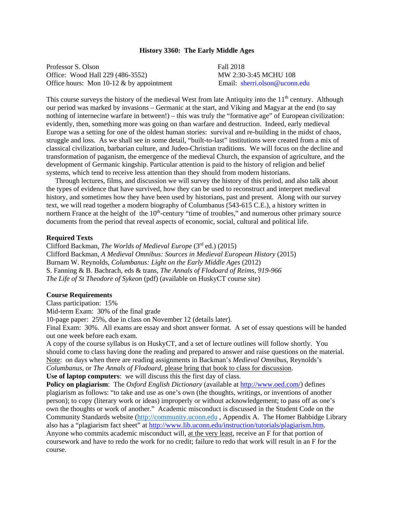#### **History 3360: The Early Middle Ages**

Professor S. Olson Fall 2018 Office: Wood Hall 229 (486-3552) MW 2:30-3:45 MCHU 108 Office hours: Mon 10-12 & by appointment Email: sherri.olson@uconn.edu

This course surveys the history of the medieval West from late Antiquity into the 11<sup>th</sup> century. Although our period was marked by invasions – Germanic at the start, and Viking and Magyar at the end (to say nothing of internecine warfare in between!) – this was truly the "formative age" of European civilization: evidently, then, something more was going on than warfare and destruction. Indeed, early medieval Europe was a setting for one of the oldest human stories: survival and re-building in the midst of chaos, struggle and loss. As we shall see in some detail, "built-to-last" institutions were created from a mix of classical civilization, barbarian culture, and Judeo-Christian traditions. We will focus on the decline and transformation of paganism, the emergence of the medieval Church, the expansion of agriculture, and the development of Germanic kingship. Particular attention is paid to the history of religion and belief systems, which tend to receive less attention than they should from modern historians.

 Through lectures, films, and discussion we will survey the history of this period, and also talk about the types of evidence that have survived, how they can be used to reconstruct and interpret medieval history, and sometimes how they have been used by historians, past and present. Along with our survey text, we will read together a modern biography of Columbanus (543-615 C.E.), a history written in northern France at the height of the  $10<sup>th</sup>$ -century "time of troubles," and numerous other primary source documents from the period that reveal aspects of economic, social, cultural and political life.

#### **Required Texts**

Clifford Backman, *The Worlds of Medieval Europe* (3rd ed.) (2015) Clifford Backman, *A Medieval Omnibus: Sources in Medieval European History* (2015) Burnam W. Reynolds*, Columbanus: Light on the Early Middle Ages* (2012) S. Fanning & B. Bachrach, eds & trans, *The Annals of Flodoard of Reims, 919-966 The Life of St Theodore of Sykeon* (pdf) (available on HuskyCT course site)

## **Course Requirements**

Class participation: 15%

Mid-term Exam: 30% of the final grade

10-page paper: 25%, due in class on November 12 (details later).

Final Exam: 30%. All exams are essay and short answer format. A set of essay questions will be handed out one week before each exam.

A copy of the course syllabus is on HuskyCT, and a set of lecture outlines will follow shortly. You should come to class having done the reading and prepared to answer and raise questions on the material. Note: on days when there are reading assignments in Backman's *Medieval Omnibus*, Reynolds's *Columbanus*, or *The Annals of Flodoard*, please bring that book to class for discussion.

**Use of laptop computers**: we will discuss this the first day of class.

**Policy on plagiarism**: The *Oxford English Dictionary* (available at http://www.oed.com/) defines plagiarism as follows: "to take and use as one's own (the thoughts, writings, or inventions of another person); to copy (literary work or ideas) improperly or without acknowledgement; to pass off as one's own the thoughts or work of another." Academic misconduct is discussed in the Student Code on the Community Standards website (http://community.uconn.edu , Appendix A. The Homer Babbidge Library also has a "plagiarism fact sheet" at http://www.lib.uconn.edu/instruction/tutorials/plagiarism.htm. Anyone who commits academic misconduct will, at the very least, receive an F for that portion of coursework and have to redo the work for no credit; failure to redo that work will result in an F for the course.